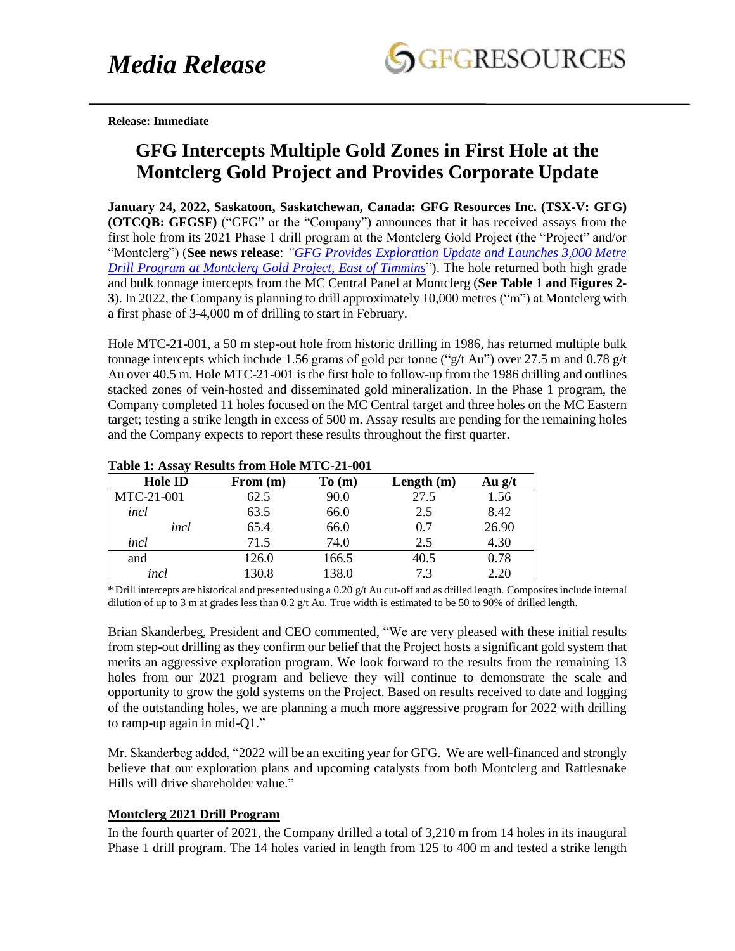

**Release: Immediate** 

# **GFG Intercepts Multiple Gold Zones in First Hole at the Montclerg Gold Project and Provides Corporate Update**

**January 24, 2022, Saskatoon, Saskatchewan, Canada: GFG Resources Inc. (TSX-V: GFG) (OTCQB: GFGSF)** ("GFG" or the "Company") announces that it has received assays from the first hole from its 2021 Phase 1 drill program at the Montclerg Gold Project (the "Project" and/or "Montclerg") (**See news release**: *["GFG Provides Exploration Update and Launches 3,000 Metre](https://www.gfgresources.com/news/press-release-details/2021/GFG-Provides-Exploration-Update-and-Launches-3000-Metre-Drill-Program-at-Montclerg-Gold-Project-East-of-Timmins/default.aspx) [Drill Program at Montclerg Gold Project, East of Timmins](https://www.gfgresources.com/news/press-release-details/2021/GFG-Provides-Exploration-Update-and-Launches-3000-Metre-Drill-Program-at-Montclerg-Gold-Project-East-of-Timmins/default.aspx)*"). The hole returned both high grade and bulk tonnage intercepts from the MC Central Panel at Montclerg (**See Table 1 and Figures 2- 3**). In 2022, the Company is planning to drill approximately 10,000 metres ("m") at Montclerg with a first phase of 3-4,000 m of drilling to start in February.

Hole MTC-21-001, a 50 m step-out hole from historic drilling in 1986, has returned multiple bulk tonnage intercepts which include 1.56 grams of gold per tonne ("g/t Au") over 27.5 m and 0.78 g/t Au over 40.5 m. Hole MTC-21-001 is the first hole to follow-up from the 1986 drilling and outlines stacked zones of vein-hosted and disseminated gold mineralization. In the Phase 1 program, the Company completed 11 holes focused on the MC Central target and three holes on the MC Eastern target; testing a strike length in excess of 500 m. Assay results are pending for the remaining holes and the Company expects to report these results throughout the first quarter.

| <b>TAUR 1. ASSAY INSURS HUIH HUR IVITU-21-001</b> |          |       |              |          |
|---------------------------------------------------|----------|-------|--------------|----------|
| <b>Hole ID</b>                                    | From (m) | To(m) | Length $(m)$ | Au $g/t$ |
| MTC-21-001                                        | 62.5     | 90.0  | 27.5         | 1.56     |
| incl                                              | 63.5     | 66.0  | 2.5          | 8.42     |
| incl                                              | 65.4     | 66.0  | 0.7          | 26.90    |
| incl                                              | 71.5     | 74.0  | 2.5          | 4.30     |
| and                                               | 126.0    | 166.5 | 40.5         | 0.78     |
| incl                                              | 130.8    | 138.0 | 73           | 2.20     |

### **Table 1: Assay Results from Hole MTC-21-001**

\* Drill intercepts are historical and presented using a 0.20 g/t Au cut-off and as drilled length. Composites include internal dilution of up to 3 m at grades less than  $0.2$  g/t Au. True width is estimated to be 50 to 90% of drilled length.

Brian Skanderbeg, President and CEO commented, "We are very pleased with these initial results from step-out drilling as they confirm our belief that the Project hosts a significant gold system that merits an aggressive exploration program. We look forward to the results from the remaining 13 holes from our 2021 program and believe they will continue to demonstrate the scale and opportunity to grow the gold systems on the Project. Based on results received to date and logging of the outstanding holes, we are planning a much more aggressive program for 2022 with drilling to ramp-up again in mid-Q1."

Mr. Skanderbeg added, "2022 will be an exciting year for GFG. We are well-financed and strongly believe that our exploration plans and upcoming catalysts from both Montclerg and Rattlesnake Hills will drive shareholder value."

### **Montclerg 2021 Drill Program**

In the fourth quarter of 2021, the Company drilled a total of 3,210 m from 14 holes in its inaugural Phase 1 drill program. The 14 holes varied in length from 125 to 400 m and tested a strike length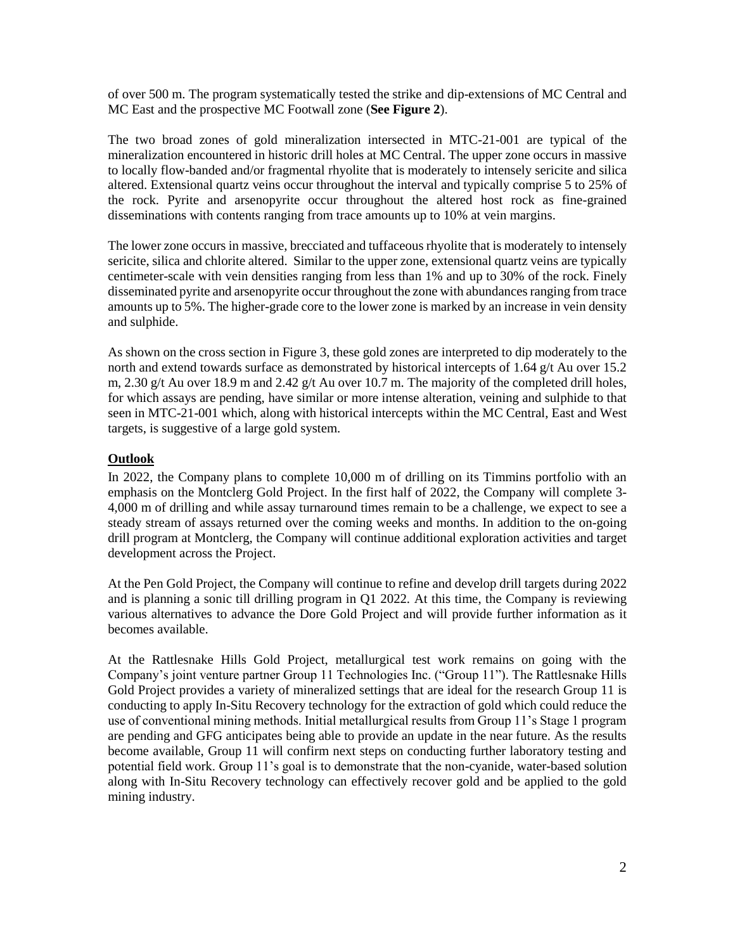of over 500 m. The program systematically tested the strike and dip-extensions of MC Central and MC East and the prospective MC Footwall zone (**See Figure 2**).

The two broad zones of gold mineralization intersected in MTC-21-001 are typical of the mineralization encountered in historic drill holes at MC Central. The upper zone occurs in massive to locally flow-banded and/or fragmental rhyolite that is moderately to intensely sericite and silica altered. Extensional quartz veins occur throughout the interval and typically comprise 5 to 25% of the rock. Pyrite and arsenopyrite occur throughout the altered host rock as fine-grained disseminations with contents ranging from trace amounts up to 10% at vein margins.

The lower zone occurs in massive, brecciated and tuffaceous rhyolite that is moderately to intensely sericite, silica and chlorite altered. Similar to the upper zone, extensional quartz veins are typically centimeter-scale with vein densities ranging from less than 1% and up to 30% of the rock. Finely disseminated pyrite and arsenopyrite occur throughout the zone with abundances ranging from trace amounts up to 5%. The higher-grade core to the lower zone is marked by an increase in vein density and sulphide.

As shown on the cross section in Figure 3, these gold zones are interpreted to dip moderately to the north and extend towards surface as demonstrated by historical intercepts of 1.64 g/t Au over 15.2 m, 2.30 g/t Au over 18.9 m and 2.42 g/t Au over 10.7 m. The majority of the completed drill holes, for which assays are pending, have similar or more intense alteration, veining and sulphide to that seen in MTC-21-001 which, along with historical intercepts within the MC Central, East and West targets, is suggestive of a large gold system.

# **Outlook**

In 2022, the Company plans to complete 10,000 m of drilling on its Timmins portfolio with an emphasis on the Montclerg Gold Project. In the first half of 2022, the Company will complete 3- 4,000 m of drilling and while assay turnaround times remain to be a challenge, we expect to see a steady stream of assays returned over the coming weeks and months. In addition to the on-going drill program at Montclerg, the Company will continue additional exploration activities and target development across the Project.

At the Pen Gold Project, the Company will continue to refine and develop drill targets during 2022 and is planning a sonic till drilling program in Q1 2022. At this time, the Company is reviewing various alternatives to advance the Dore Gold Project and will provide further information as it becomes available.

At the Rattlesnake Hills Gold Project, metallurgical test work remains on going with the Company's joint venture partner Group 11 Technologies Inc. ("Group 11"). The Rattlesnake Hills Gold Project provides a variety of mineralized settings that are ideal for the research Group 11 is conducting to apply In-Situ Recovery technology for the extraction of gold which could reduce the use of conventional mining methods. Initial metallurgical results from Group 11's Stage 1 program are pending and GFG anticipates being able to provide an update in the near future. As the results become available, Group 11 will confirm next steps on conducting further laboratory testing and potential field work. Group 11's goal is to demonstrate that the non-cyanide, water-based solution along with In-Situ Recovery technology can effectively recover gold and be applied to the gold mining industry.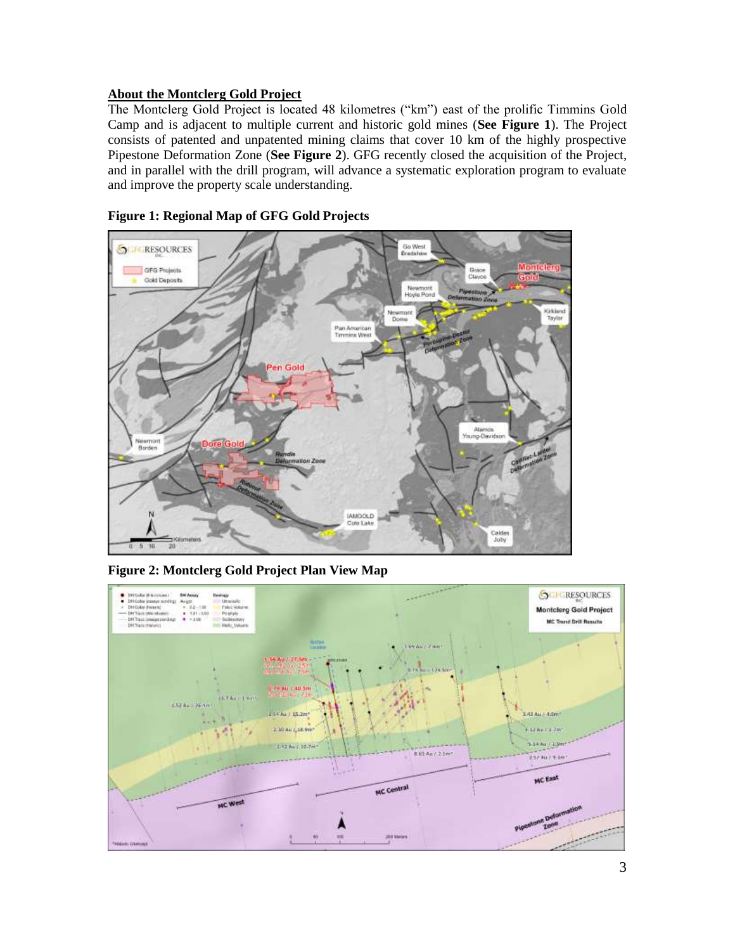# **About the Montclerg Gold Project**

The Montclerg Gold Project is located 48 kilometres ("km") east of the prolific Timmins Gold Camp and is adjacent to multiple current and historic gold mines (**See Figure 1**). The Project consists of patented and unpatented mining claims that cover 10 km of the highly prospective Pipestone Deformation Zone (**See Figure 2**). GFG recently closed the acquisition of the Project, and in parallel with the drill program, will advance a systematic exploration program to evaluate and improve the property scale understanding.



**Figure 1: Regional Map of GFG Gold Projects**

**Figure 2: Montclerg Gold Project Plan View Map** 

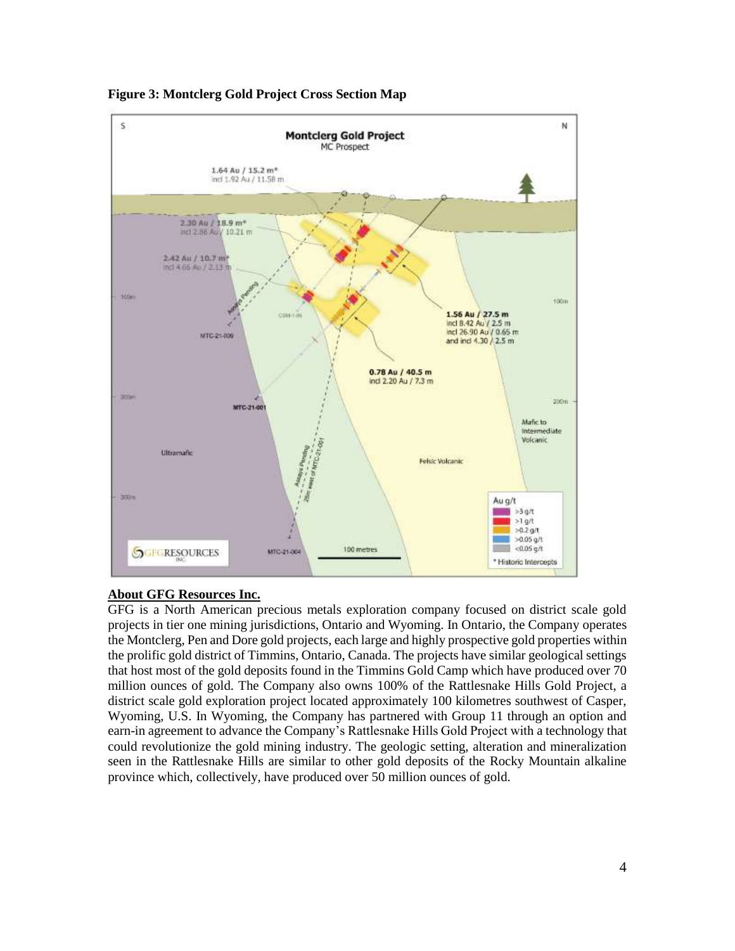

**Figure 3: Montclerg Gold Project Cross Section Map**

# **About GFG Resources Inc.**

GFG is a North American precious metals exploration company focused on district scale gold projects in tier one mining jurisdictions, Ontario and Wyoming. In Ontario, the Company operates the Montclerg, Pen and Dore gold projects, each large and highly prospective gold properties within the prolific gold district of Timmins, Ontario, Canada. The projects have similar geological settings that host most of the gold deposits found in the Timmins Gold Camp which have produced over 70 million ounces of gold. The Company also owns 100% of the Rattlesnake Hills Gold Project, a district scale gold exploration project located approximately 100 kilometres southwest of Casper, Wyoming, U.S. In Wyoming, the Company has partnered with Group 11 through an option and earn-in agreement to advance the Company's Rattlesnake Hills Gold Project with a technology that could revolutionize the gold mining industry. The geologic setting, alteration and mineralization seen in the Rattlesnake Hills are similar to other gold deposits of the Rocky Mountain alkaline province which, collectively, have produced over 50 million ounces of gold.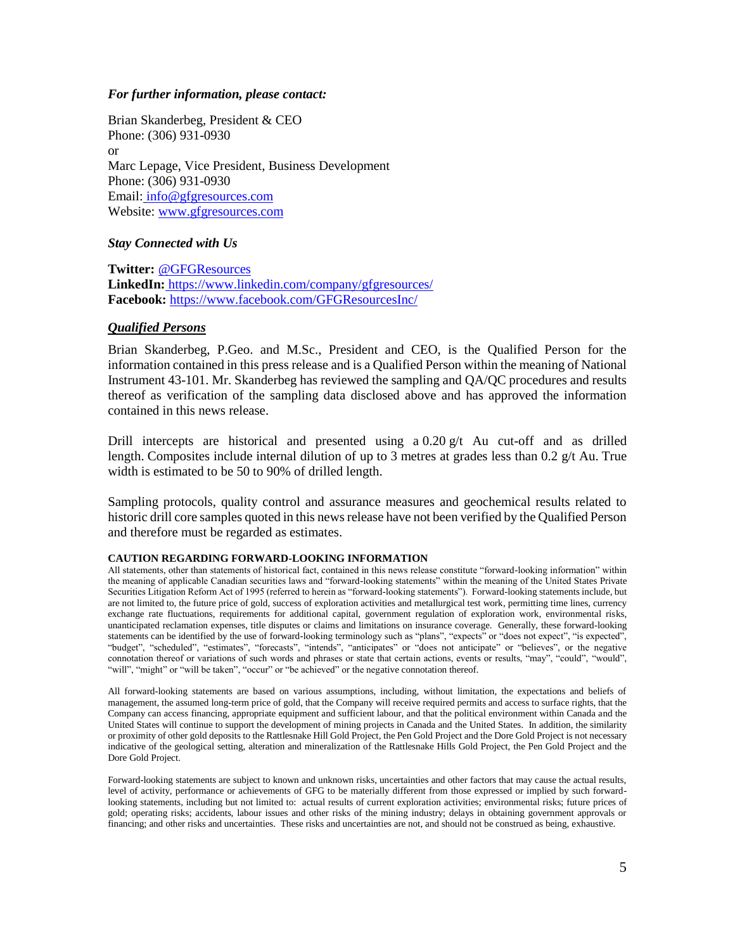### *For further information, please contact:*

Brian Skanderbeg, President & CEO Phone: (306) 931-0930 or Marc Lepage, Vice President, Business Development Phone: (306) 931-0930 Email: [info@gfgresources.com](mailto:info@gfgresources.com) Website: www.gfgresources.com

### *Stay Connected with Us*

**Twitter:** @GFGResources **LinkedIn:** https://www.linkedin.com/company/gfgresources/ **Facebook:** <https://www.facebook.com/GFGResourcesInc/>

### *Qualified Persons*

Brian Skanderbeg, P.Geo. and M.Sc., President and CEO, is the Qualified Person for the information contained in this press release and is a Qualified Person within the meaning of National Instrument 43-101. Mr. Skanderbeg has reviewed the sampling and QA/QC procedures and results thereof as verification of the sampling data disclosed above and has approved the information contained in this news release.

Drill intercepts are historical and presented using a  $0.20 \text{ g/t}$  Au cut-off and as drilled length. Composites include internal dilution of up to 3 metres at grades less than 0.2 g/t Au. True width is estimated to be 50 to 90% of drilled length.

Sampling protocols, quality control and assurance measures and geochemical results related to historic drill core samples quoted in this news release have not been verified by the Qualified Person and therefore must be regarded as estimates.

#### **CAUTION REGARDING FORWARD-LOOKING INFORMATION**

All statements, other than statements of historical fact, contained in this news release constitute "forward-looking information" within the meaning of applicable Canadian securities laws and "forward-looking statements" within the meaning of the United States Private Securities Litigation Reform Act of 1995 (referred to herein as "forward-looking statements"). Forward-looking statements include, but are not limited to, the future price of gold, success of exploration activities and metallurgical test work, permitting time lines, currency exchange rate fluctuations, requirements for additional capital, government regulation of exploration work, environmental risks, unanticipated reclamation expenses, title disputes or claims and limitations on insurance coverage. Generally, these forward-looking statements can be identified by the use of forward-looking terminology such as "plans", "expects" or "does not expect", "is expected", "budget", "scheduled", "estimates", "forecasts", "intends", "anticipates" or "does not anticipate" or "believes", or the negative connotation thereof or variations of such words and phrases or state that certain actions, events or results, "may", "could", "would", "will", "might" or "will be taken", "occur" or "be achieved" or the negative connotation thereof.

All forward-looking statements are based on various assumptions, including, without limitation, the expectations and beliefs of management, the assumed long-term price of gold, that the Company will receive required permits and access to surface rights, that the Company can access financing, appropriate equipment and sufficient labour, and that the political environment within Canada and the United States will continue to support the development of mining projects in Canada and the United States. In addition, the similarity or proximity of other gold deposits to the Rattlesnake Hill Gold Project, the Pen Gold Project and the Dore Gold Project is not necessary indicative of the geological setting, alteration and mineralization of the Rattlesnake Hills Gold Project, the Pen Gold Project and the Dore Gold Project.

Forward-looking statements are subject to known and unknown risks, uncertainties and other factors that may cause the actual results, level of activity, performance or achievements of GFG to be materially different from those expressed or implied by such forwardlooking statements, including but not limited to: actual results of current exploration activities; environmental risks; future prices of gold; operating risks; accidents, labour issues and other risks of the mining industry; delays in obtaining government approvals or financing; and other risks and uncertainties. These risks and uncertainties are not, and should not be construed as being, exhaustive.